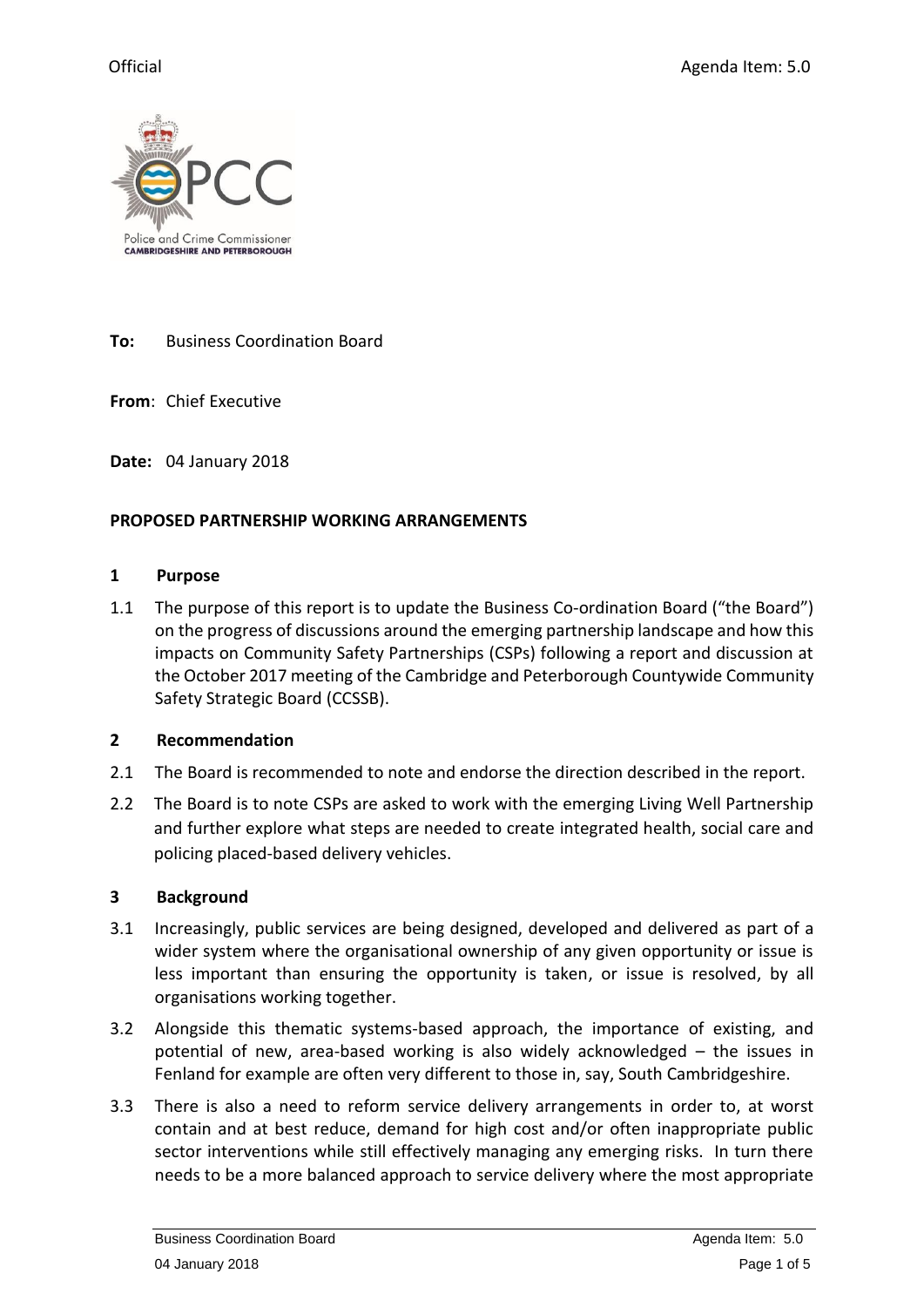

### **To:** Business Coordination Board

**From**: Chief Executive

**Date:** 04 January 2018

### **PROPOSED PARTNERSHIP WORKING ARRANGEMENTS**

#### **1 Purpose**

1.1 The purpose of this report is to update the Business Co-ordination Board ("the Board") on the progress of discussions around the emerging partnership landscape and how this impacts on Community Safety Partnerships (CSPs) following a report and discussion at the October 2017 meeting of the Cambridge and Peterborough Countywide Community Safety Strategic Board (CCSSB).

### **2 Recommendation**

- 2.1 The Board is recommended to note and endorse the direction described in the report.
- 2.2 The Board is to note CSPs are asked to work with the emerging Living Well Partnership and further explore what steps are needed to create integrated health, social care and policing placed-based delivery vehicles.

### **3 Background**

- 3.1 Increasingly, public services are being designed, developed and delivered as part of a wider system where the organisational ownership of any given opportunity or issue is less important than ensuring the opportunity is taken, or issue is resolved, by all organisations working together.
- 3.2 Alongside this thematic systems-based approach, the importance of existing, and potential of new, area-based working is also widely acknowledged – the issues in Fenland for example are often very different to those in, say, South Cambridgeshire.
- 3.3 There is also a need to reform service delivery arrangements in order to, at worst contain and at best reduce, demand for high cost and/or often inappropriate public sector interventions while still effectively managing any emerging risks. In turn there needs to be a more balanced approach to service delivery where the most appropriate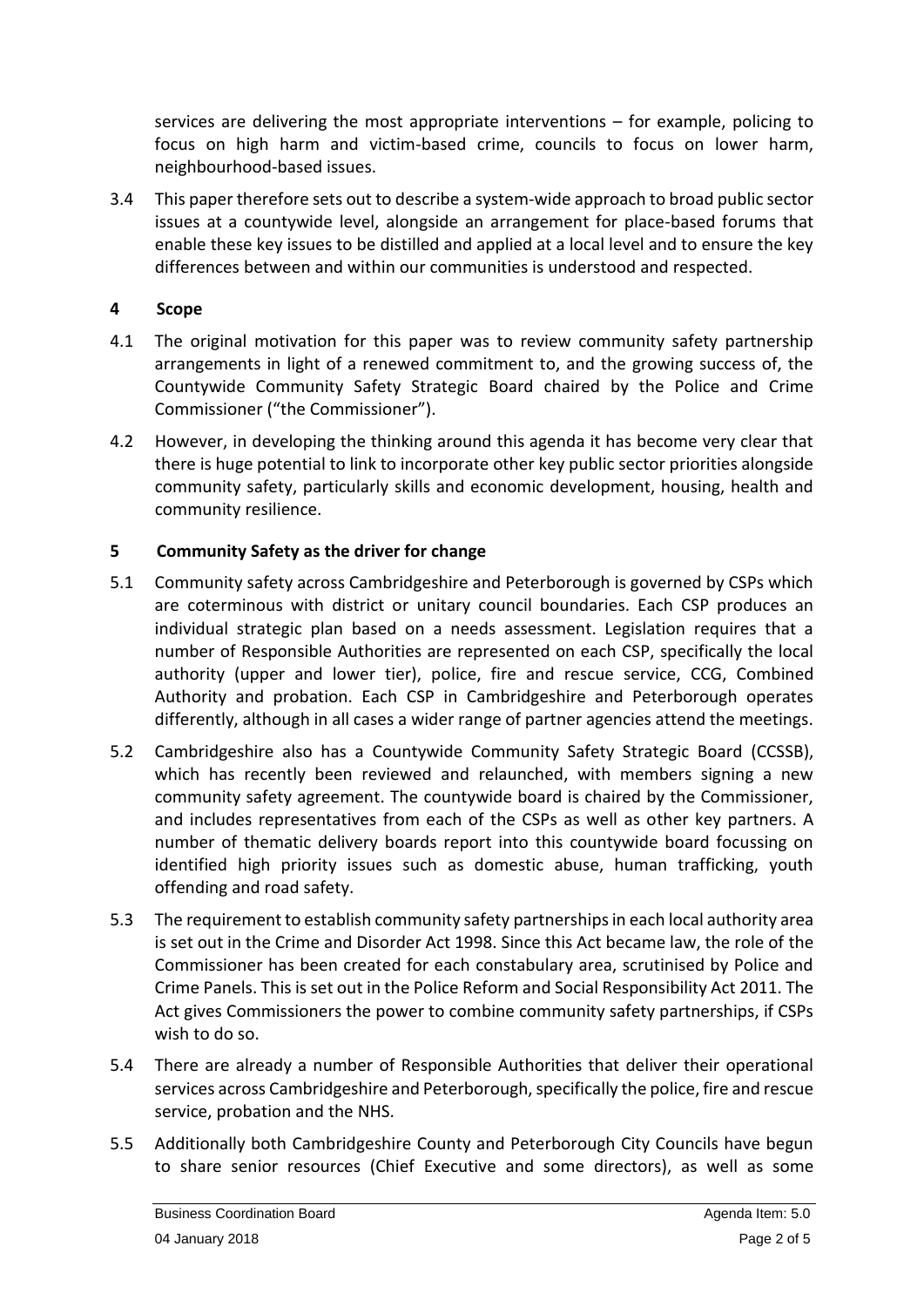services are delivering the most appropriate interventions – for example, policing to focus on high harm and victim-based crime, councils to focus on lower harm, neighbourhood-based issues.

3.4 This paper therefore sets out to describe a system-wide approach to broad public sector issues at a countywide level, alongside an arrangement for place-based forums that enable these key issues to be distilled and applied at a local level and to ensure the key differences between and within our communities is understood and respected.

# **4 Scope**

- 4.1 The original motivation for this paper was to review community safety partnership arrangements in light of a renewed commitment to, and the growing success of, the Countywide Community Safety Strategic Board chaired by the Police and Crime Commissioner ("the Commissioner").
- 4.2 However, in developing the thinking around this agenda it has become very clear that there is huge potential to link to incorporate other key public sector priorities alongside community safety, particularly skills and economic development, housing, health and community resilience.

## **5 Community Safety as the driver for change**

- 5.1 Community safety across Cambridgeshire and Peterborough is governed by CSPs which are coterminous with district or unitary council boundaries. Each CSP produces an individual strategic plan based on a needs assessment. Legislation requires that a number of Responsible Authorities are represented on each CSP, specifically the local authority (upper and lower tier), police, fire and rescue service, CCG, Combined Authority and probation. Each CSP in Cambridgeshire and Peterborough operates differently, although in all cases a wider range of partner agencies attend the meetings.
- 5.2 Cambridgeshire also has a Countywide Community Safety Strategic Board (CCSSB), which has recently been reviewed and relaunched, with members signing a new community safety agreement. The countywide board is chaired by the Commissioner, and includes representatives from each of the CSPs as well as other key partners. A number of thematic delivery boards report into this countywide board focussing on identified high priority issues such as domestic abuse, human trafficking, youth offending and road safety.
- 5.3 The requirement to establish community safety partnerships in each local authority area is set out in the Crime and Disorder Act 1998. Since this Act became law, the role of the Commissioner has been created for each constabulary area, scrutinised by Police and Crime Panels. This is set out in the Police Reform and Social Responsibility Act 2011. The Act gives Commissioners the power to combine community safety partnerships, if CSPs wish to do so.
- 5.4 There are already a number of Responsible Authorities that deliver their operational services across Cambridgeshire and Peterborough, specifically the police, fire and rescue service, probation and the NHS.
- 5.5 Additionally both Cambridgeshire County and Peterborough City Councils have begun to share senior resources (Chief Executive and some directors), as well as some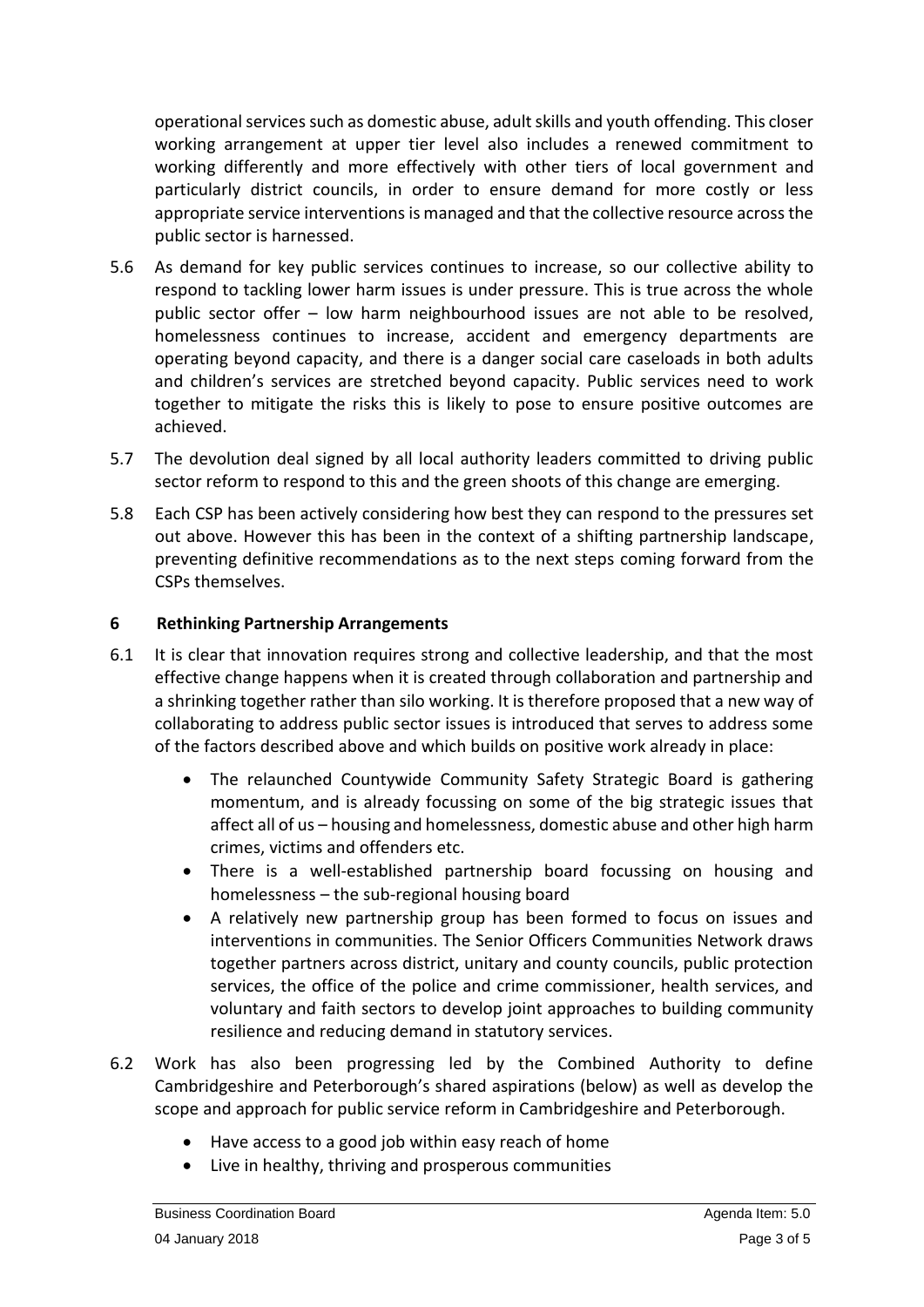operational services such as domestic abuse, adult skills and youth offending. This closer working arrangement at upper tier level also includes a renewed commitment to working differently and more effectively with other tiers of local government and particularly district councils, in order to ensure demand for more costly or less appropriate service interventions is managed and that the collective resource across the public sector is harnessed.

- 5.6 As demand for key public services continues to increase, so our collective ability to respond to tackling lower harm issues is under pressure. This is true across the whole public sector offer – low harm neighbourhood issues are not able to be resolved, homelessness continues to increase, accident and emergency departments are operating beyond capacity, and there is a danger social care caseloads in both adults and children's services are stretched beyond capacity. Public services need to work together to mitigate the risks this is likely to pose to ensure positive outcomes are achieved.
- 5.7 The devolution deal signed by all local authority leaders committed to driving public sector reform to respond to this and the green shoots of this change are emerging.
- 5.8 Each CSP has been actively considering how best they can respond to the pressures set out above. However this has been in the context of a shifting partnership landscape, preventing definitive recommendations as to the next steps coming forward from the CSPs themselves.

## **6 Rethinking Partnership Arrangements**

- 6.1 It is clear that innovation requires strong and collective leadership, and that the most effective change happens when it is created through collaboration and partnership and a shrinking together rather than silo working. It is therefore proposed that a new way of collaborating to address public sector issues is introduced that serves to address some of the factors described above and which builds on positive work already in place:
	- The relaunched Countywide Community Safety Strategic Board is gathering momentum, and is already focussing on some of the big strategic issues that affect all of us – housing and homelessness, domestic abuse and other high harm crimes, victims and offenders etc.
	- There is a well-established partnership board focussing on housing and homelessness – the sub-regional housing board
	- A relatively new partnership group has been formed to focus on issues and interventions in communities. The Senior Officers Communities Network draws together partners across district, unitary and county councils, public protection services, the office of the police and crime commissioner, health services, and voluntary and faith sectors to develop joint approaches to building community resilience and reducing demand in statutory services.
- 6.2 Work has also been progressing led by the Combined Authority to define Cambridgeshire and Peterborough's shared aspirations (below) as well as develop the scope and approach for public service reform in Cambridgeshire and Peterborough.
	- Have access to a good job within easy reach of home
	- Live in healthy, thriving and prosperous communities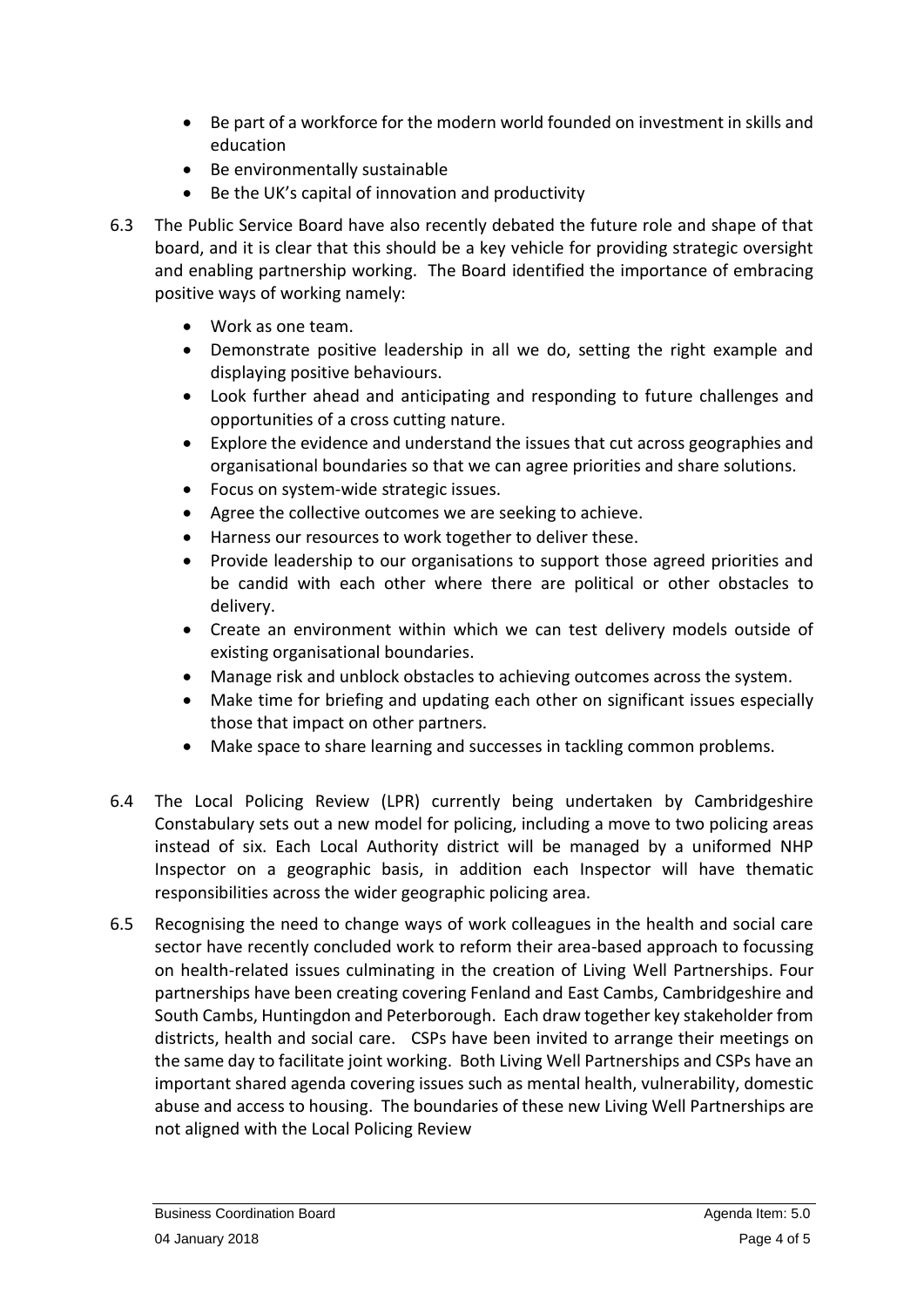- Be part of a workforce for the modern world founded on investment in skills and education
- Be environmentally sustainable
- Be the UK's capital of innovation and productivity
- 6.3 The Public Service Board have also recently debated the future role and shape of that board, and it is clear that this should be a key vehicle for providing strategic oversight and enabling partnership working. The Board identified the importance of embracing positive ways of working namely:
	- Work as one team.
	- Demonstrate positive leadership in all we do, setting the right example and displaying positive behaviours.
	- Look further ahead and anticipating and responding to future challenges and opportunities of a cross cutting nature.
	- Explore the evidence and understand the issues that cut across geographies and organisational boundaries so that we can agree priorities and share solutions.
	- Focus on system-wide strategic issues.
	- Agree the collective outcomes we are seeking to achieve.
	- Harness our resources to work together to deliver these.
	- Provide leadership to our organisations to support those agreed priorities and be candid with each other where there are political or other obstacles to delivery.
	- Create an environment within which we can test delivery models outside of existing organisational boundaries.
	- Manage risk and unblock obstacles to achieving outcomes across the system.
	- Make time for briefing and updating each other on significant issues especially those that impact on other partners.
	- Make space to share learning and successes in tackling common problems.
- 6.4 The Local Policing Review (LPR) currently being undertaken by Cambridgeshire Constabulary sets out a new model for policing, including a move to two policing areas instead of six. Each Local Authority district will be managed by a uniformed NHP Inspector on a geographic basis, in addition each Inspector will have thematic responsibilities across the wider geographic policing area.
- 6.5 Recognising the need to change ways of work colleagues in the health and social care sector have recently concluded work to reform their area-based approach to focussing on health-related issues culminating in the creation of Living Well Partnerships. Four partnerships have been creating covering Fenland and East Cambs, Cambridgeshire and South Cambs, Huntingdon and Peterborough. Each draw together key stakeholder from districts, health and social care. CSPs have been invited to arrange their meetings on the same day to facilitate joint working. Both Living Well Partnerships and CSPs have an important shared agenda covering issues such as mental health, vulnerability, domestic abuse and access to housing. The boundaries of these new Living Well Partnerships are not aligned with the Local Policing Review